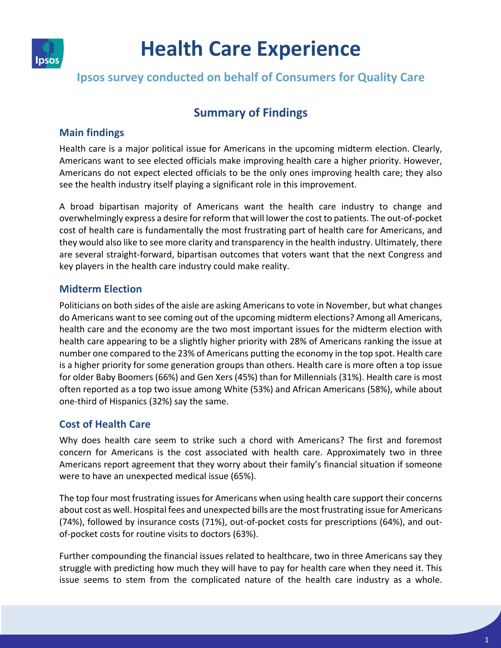

# **Health Care Experience**

## **Ipsos survey conducted on behalf of Consumers for Quality Care**

# **Summary of Findings**

#### **Main findings**

Health care is a major political issue for Americans in the upcoming midterm election. Clearly, Americans want to see elected officials make improving health care a higher priority. However, Americans do not expect elected officials to be the only ones improving health care; they also see the health industry itself playing a significant role in this improvement.

A broad bipartisan majority of Americans want the health care industry to change and overwhelmingly express a desire for reform that will lower the cost to patients. The out-of-pocket cost of health care is fundamentally the most frustrating part of health care for Americans, and they would also like to see more clarity and transparency in the health industry. Ultimately, there are several straight-forward, bipartisan outcomes that voters want that the next Congress and key players in the health care industry could make reality.

### **Midterm Election**

Politicians on both sides of the aisle are asking Americans to vote in November, but what changes do Americans want to see coming out of the upcoming midterm elections? Among all Americans, health care and the economy are the two most important issues for the midterm election with health care appearing to be a slightly higher priority with 28% of Americans ranking the issue at number one compared to the 23% of Americans putting the economy in the top spot. Health care is a higher priority for some generation groups than others. Health care is more often a top issue for older Baby Boomers (66%) and Gen Xers (45%) than for Millennials (31%). Health care is most often reported as a top two issue among White (53%) and African Americans (58%), while about one-third of Hispanics (32%) say the same.

## **Cost of Health Care**

Why does health care seem to strike such a chord with Americans? The first and foremost concern for Americans is the cost associated with health care. Approximately two in three Americans report agreement that they worry about their family's financial situation if someone were to have an unexpected medical issue (65%).

The top four most frustrating issues for Americans when using health care support their concerns about cost as well. Hospital fees and unexpected bills are the most frustrating issue for Americans (74%), followed by insurance costs (71%), out-of-pocket costs for prescriptions (64%), and outof-pocket costs for routine visits to doctors (63%).

Further compounding the financial issues related to healthcare, two in three Americans say they struggle with predicting how much they will have to pay for health care when they need it. This issue seems to stem from the complicated nature of the health care industry as a whole.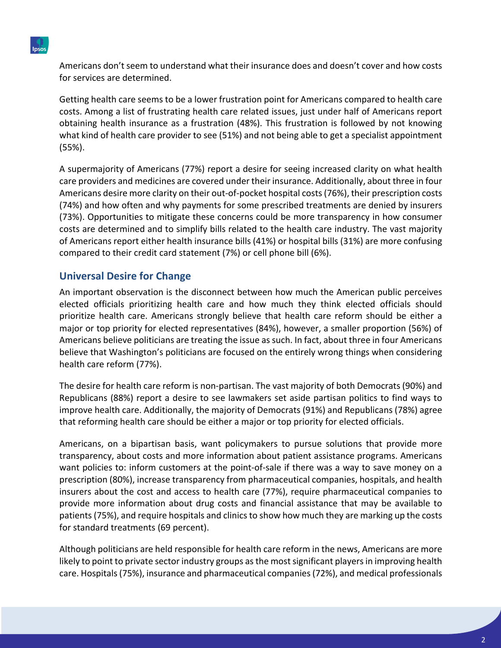

Americans don't seem to understand what their insurance does and doesn't cover and how costs for services are determined.

Getting health care seems to be a lower frustration point for Americans compared to health care costs. Among a list of frustrating health care related issues, just under half of Americans report obtaining health insurance as a frustration (48%). This frustration is followed by not knowing what kind of health care provider to see (51%) and not being able to get a specialist appointment (55%).

A supermajority of Americans (77%) report a desire for seeing increased clarity on what health care providers and medicines are covered under their insurance. Additionally, about three in four Americans desire more clarity on their out-of-pocket hospital costs(76%), their prescription costs (74%) and how often and why payments for some prescribed treatments are denied by insurers (73%). Opportunities to mitigate these concerns could be more transparency in how consumer costs are determined and to simplify bills related to the health care industry. The vast majority of Americans report either health insurance bills (41%) or hospital bills (31%) are more confusing compared to their credit card statement (7%) or cell phone bill (6%).

### **Universal Desire for Change**

An important observation is the disconnect between how much the American public perceives elected officials prioritizing health care and how much they think elected officials should prioritize health care. Americans strongly believe that health care reform should be either a major or top priority for elected representatives (84%), however, a smaller proportion (56%) of Americans believe politicians are treating the issue as such. In fact, about three in four Americans believe that Washington's politicians are focused on the entirely wrong things when considering health care reform (77%).

The desire for health care reform is non-partisan. The vast majority of both Democrats (90%) and Republicans (88%) report a desire to see lawmakers set aside partisan politics to find ways to improve health care. Additionally, the majority of Democrats (91%) and Republicans (78%) agree that reforming health care should be either a major or top priority for elected officials.

Americans, on a bipartisan basis, want policymakers to pursue solutions that provide more transparency, about costs and more information about patient assistance programs. Americans want policies to: inform customers at the point-of-sale if there was a way to save money on a prescription (80%), increase transparency from pharmaceutical companies, hospitals, and health insurers about the cost and access to health care (77%), require pharmaceutical companies to provide more information about drug costs and financial assistance that may be available to patients (75%), and require hospitals and clinics to show how much they are marking up the costs for standard treatments (69 percent).

Although politicians are held responsible for health care reform in the news, Americans are more likely to point to private sector industry groups as the most significant players in improving health care. Hospitals (75%), insurance and pharmaceutical companies (72%), and medical professionals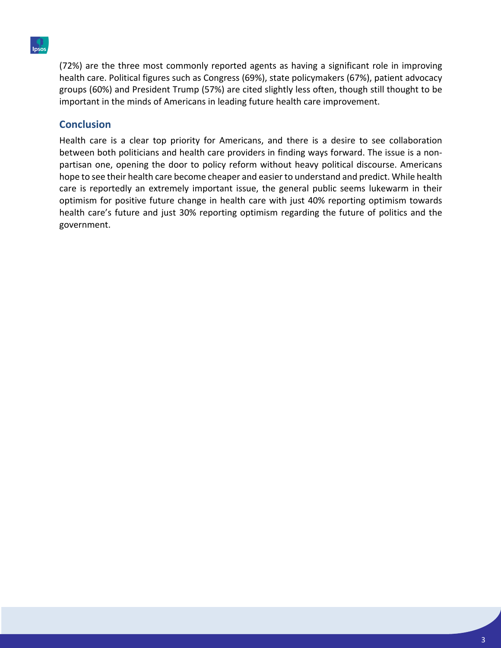

(72%) are the three most commonly reported agents as having a significant role in improving health care. Political figures such as Congress (69%), state policymakers (67%), patient advocacy groups (60%) and President Trump (57%) are cited slightly less often, though still thought to be important in the minds of Americans in leading future health care improvement.

#### **Conclusion**

Health care is a clear top priority for Americans, and there is a desire to see collaboration between both politicians and health care providers in finding ways forward. The issue is a nonpartisan one, opening the door to policy reform without heavy political discourse. Americans hope to see their health care become cheaper and easier to understand and predict. While health care is reportedly an extremely important issue, the general public seems lukewarm in their optimism for positive future change in health care with just 40% reporting optimism towards health care's future and just 30% reporting optimism regarding the future of politics and the government.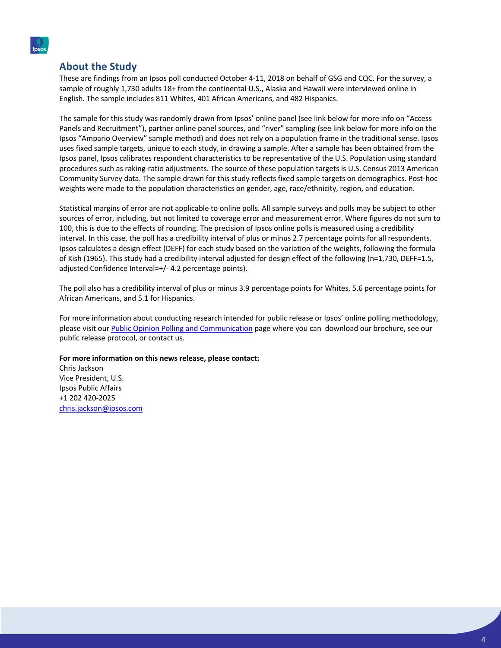

#### **About the Study**

These are findings from an Ipsos poll conducted October 4-11, 2018 on behalf of GSG and CQC. For the survey, a sample of roughly 1,730 adults 18+ from the continental U.S., Alaska and Hawaii were interviewed online in English. The sample includes 811 Whites, 401 African Americans, and 482 Hispanics.

The sample for this study was randomly drawn from Ipsos' online panel (see link below for more info on "Access Panels and Recruitment"), partner online panel sources, and "river" sampling (see link below for more info on the Ipsos "Ampario Overview" sample method) and does not rely on a population frame in the traditional sense. Ipsos uses fixed sample targets, unique to each study, in drawing a sample. After a sample has been obtained from the Ipsos panel, Ipsos calibrates respondent characteristics to be representative of the U.S. Population using standard procedures such as raking-ratio adjustments. The source of these population targets is U.S. Census 2013 American Community Survey data. The sample drawn for this study reflects fixed sample targets on demographics. Post-hoc weights were made to the population characteristics on gender, age, race/ethnicity, region, and education.

Statistical margins of error are not applicable to online polls. All sample surveys and polls may be subject to other sources of error, including, but not limited to coverage error and measurement error. Where figures do not sum to 100, this is due to the effects of rounding. The precision of Ipsos online polls is measured using a credibility interval. In this case, the poll has a credibility interval of plus or minus 2.7 percentage points for all respondents. Ipsos calculates a design effect (DEFF) for each study based on the variation of the weights, following the formula of Kish (1965). This study had a credibility interval adjusted for design effect of the following (n=1,730, DEFF=1.5, adjusted Confidence Interval=+/- 4.2 percentage points).

The poll also has a credibility interval of plus or minus 3.9 percentage points for Whites, 5.6 percentage points for African Americans, and 5.1 for Hispanics.

For more information about conducting research intended for public release or Ipsos' online polling methodology, please visit our Public Opinion Polling and Communication page where you can download our brochure, see our public release protocol, or contact us.

#### **For more information on this news release, please contact:**

Chris Jackson Vice President, U.S. Ipsos Public Affairs +1 202 420-2025 chris.jackson@ipsos.com